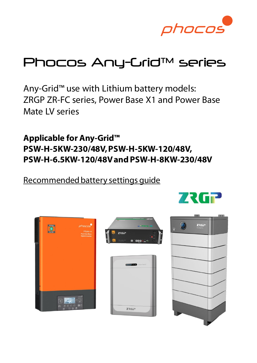

# Phocos Any-Grid™ series

Any-Grid™ use with Lithium battery models: ZRGP ZR-FC series, Power Base X1 and Power Base Mate LV series

**Applicable for Any-Grid™ PSW-H-5KW-230/48V, PSW-H-5KW-120/48V, PSW-H-6.5KW-120/48V and PSW-H-8KW-230/48V**

Recommended battery settings guide







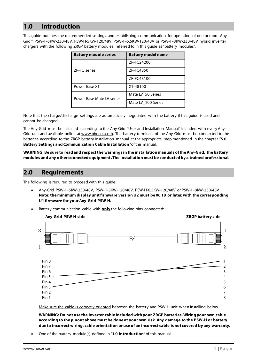## <span id="page-1-0"></span>**1.0 Introduction**

This guide outlines the recommended settings and establishing communication for operation of one or more Any-Grid™ PSW-H-5KW-230/48V, PSW-H-5KW-120/48V, PSW-H-6.5KW-120/48V or PSW-H-8KW-230/48V hybrid inverter chargers with the following ZRGP battery modules, referred to in this guide as "battery modules":

| <b>Battery module series</b> | <b>Battery model name</b> |
|------------------------------|---------------------------|
| <b>ZR-FC</b> series          | ZR-FC24200                |
|                              | ZR-FC4850                 |
|                              | ZR-FC48100                |
| Power Base X1                | X1-48100                  |
| Power Base Mate IV series    | Mate LV 50 Series         |
|                              | Mate LV 100 Series        |

Note that the charge/discharge settings are automatically negotiated with the battery if this guide is used and cannot be changed.

The Any-Grid must be installed according to the Any-Grid "User and Installation Manual" included with every AnyGrid unit and available online a[t www.phocos.com.](http://www.phocos.com/) The battery terminals of the Any-Grid must be connected to the batteries according to the ZRGP battery installation manual at the appropriate step mentioned in the chapter "**5.0 Battery Settings and Communication Cable Installation**" of this manual.

**WARNING: Be sure to read and respect the warnings in the installation manuals of the Any -Grid, the battery modules and any other connected equipment. The installation must be conducted by a trained professional.**

#### **2.0 Requirements**

The following is required to proceed with this guide:

- Any-Grid PSW-H-5KW-230/48V, PSW-H-5KW-120/48V, PSW-H-6.5KW-120/48V or PSW-H-8KW-230/48V **Note: the minimum display unit firmware version U2 must be 06.18 or later, with the corresponding U1 firmware for your Any-Grid PSW-H.**
- Battery communication cable with **only** the following pins connected:



Make sure the cable is correctly oriented between the battery and PSW-H unit when installing below.

**WARNING: Do not use the inverter cable included with your ZRGP batteries. Wiring your own cable according to the pinout above must be done at your own risk. Any damage to the PSW-H or battery due to incorrect wiring, cable orientation or use of an incorrect cable is not covered by any warranty.**

• One of the battery module(s) defined in "**1.0 [Introduction"](#page-1-0)** of this manual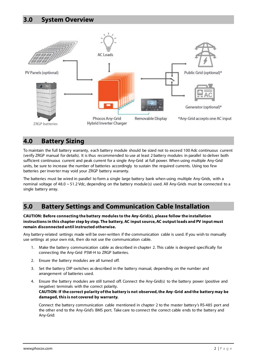

#### **4.0 Battery Sizing**

To maintain the full battery warranty, each battery module should be sized not to exceed 100 Adc continuous current (verify ZRGP manual for details). It is thus recommended to use at least 2 battery modules in parallel to deliver both sufficient continuous current and peak current for a single Any-Grid at full power. When using multiple Any-Grid units, be sure to increase the number of batteries accordingly to sustain the required currents. Using too few batteries per inverter may void your ZRGP battery warranty.

The batteries must be wired in parallel to form a single large battery bank when using multiple Any-Grids, with a nominal voltage of 48.0 ~ 51.2 Vdc, depending on the battery module(s) used. All Any-Grids must be connected to a single battery array.

## **5.0 Battery Settings and Communication Cable Installation**

#### **CAUTION: Before connecting the battery modules to the Any-Grid(s), please follow the installation instructions in this chapter step by step. The battery, AC input source, AC output loads and PV input must remain disconnected until instructed otherwise.**

Any battery-related settings made will be over-written if the communication cable is used. If you wish to manually use settings at your own risk, then do not use the communication cable.

- 1. Make the battery communication cable as described in chapter 2. This cable is designed specifically for connecting the Any-Grid PSW-H to ZRGP batteries.
- 2. Ensure the battery modules are all turned off.
- 3. Set the battery DIP switches as described in the battery manual, depending on the number and arrangement of batteries used.
- 4. Ensure the battery modules are still turned off. Connect the Any-Grid(s) to the battery power (positive and negative) terminals with the correct polarity. **CAUTION: If the correct polarity of the battery is not observed, the Any -Grid and the battery may be damaged, this is not covered by warranty.**

Connect the battery communication cable mentioned in chapter 2 to the master battery's RS-485 port and the other end to the Any-Grid's BMS port. Take care to connect the correct cable ends to the battery and Any-Grid: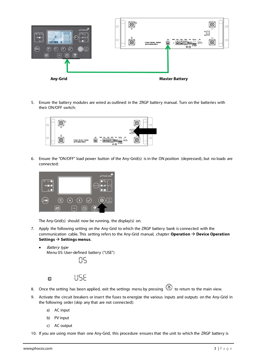

5. Ensure the battery modules are wired as outlined in the ZRGP battery manual. Turn on the batteries with their ON/OFF switch:



6. Ensure the "ON/OFF" load power button of the Any-Grid(s) is in the ON position (depressed), but no loads are connected:



The Any-Grid(s) should now be running, the display(s) on.

7. Apply the following setting on the Any-Grid to which the ZRGP battery bank is connected with the communication cable. This setting refers to the Any-Grid manual, chapter **Operation** → **Device Operation Settings** → **Settings menus**.



LISE

- 8. Once the setting has been applied, exit the settings menu by pressing  $\bigotimes$  to return to the main view.
- 9. Activate the circuit breakers or insert the fuses to energize the various inputs and outputs on the Any-Grid in the following order (skip any that are not connected):
	- a) AC input
	- b) PV input
	- c) AC output
- 10. If you are using more than one Any-Grid, this procedure ensures that the unit to which the ZRGP battery is